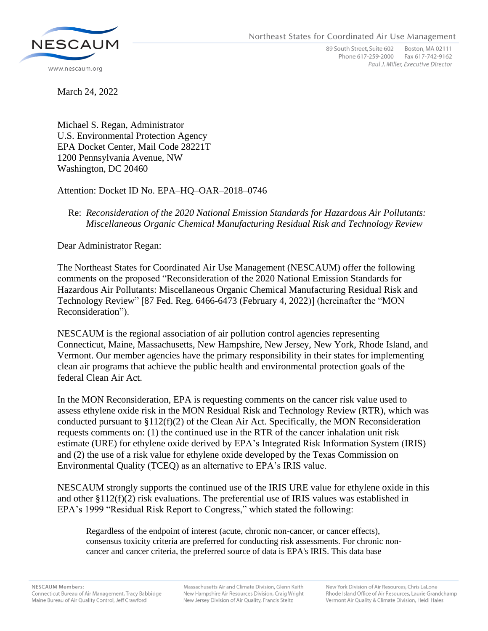

89 South Street, Suite 602 Boston, MA 02111 Phone 617-259-2000 Fax 617-742-9162 Paul J. Miller, Executive Director

March 24, 2022

Michael S. Regan, Administrator U.S. Environmental Protection Agency EPA Docket Center, Mail Code 28221T 1200 Pennsylvania Avenue, NW Washington, DC 20460

Attention: Docket ID No. EPA–HQ–OAR–2018–0746

## Re: *Reconsideration of the 2020 National Emission Standards for Hazardous Air Pollutants: Miscellaneous Organic Chemical Manufacturing Residual Risk and Technology Review*

Dear Administrator Regan:

The Northeast States for Coordinated Air Use Management (NESCAUM) offer the following comments on the proposed "Reconsideration of the 2020 National Emission Standards for Hazardous Air Pollutants: Miscellaneous Organic Chemical Manufacturing Residual Risk and Technology Review" [87 Fed. Reg. 6466-6473 (February 4, 2022)] (hereinafter the "MON Reconsideration").

NESCAUM is the regional association of air pollution control agencies representing Connecticut, Maine, Massachusetts, New Hampshire, New Jersey, New York, Rhode Island, and Vermont. Our member agencies have the primary responsibility in their states for implementing clean air programs that achieve the public health and environmental protection goals of the federal Clean Air Act.

In the MON Reconsideration, EPA is requesting comments on the cancer risk value used to assess ethylene oxide risk in the MON Residual Risk and Technology Review (RTR), which was conducted pursuant to §112(f)(2) of the Clean Air Act. Specifically, the MON Reconsideration requests comments on: (1) the continued use in the RTR of the cancer inhalation unit risk estimate (URE) for ethylene oxide derived by EPA's Integrated Risk Information System (IRIS) and (2) the use of a risk value for ethylene oxide developed by the Texas Commission on Environmental Quality (TCEQ) as an alternative to EPA's IRIS value.

NESCAUM strongly supports the continued use of the IRIS URE value for ethylene oxide in this and other  $\S112(f)(2)$  risk evaluations. The preferential use of IRIS values was established in EPA's 1999 "Residual Risk Report to Congress," which stated the following:

Regardless of the endpoint of interest (acute, chronic non-cancer, or cancer effects), consensus toxicity criteria are preferred for conducting risk assessments. For chronic noncancer and cancer criteria, the preferred source of data is EPA's IRIS. This data base

Massachusetts Air and Climate Division, Glenn Keith New Hampshire Air Resources Division, Craig Wright New Jersey Division of Air Quality, Francis Steitz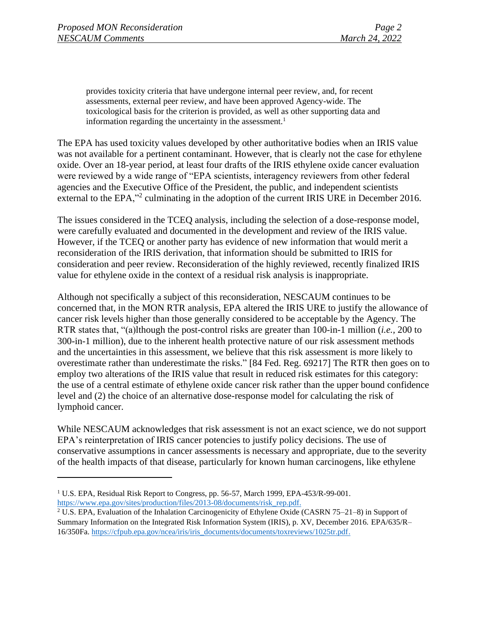provides toxicity criteria that have undergone internal peer review, and, for recent assessments, external peer review, and have been approved Agency-wide. The toxicological basis for the criterion is provided, as well as other supporting data and information regarding the uncertainty in the assessment.<sup>1</sup>

The EPA has used toxicity values developed by other authoritative bodies when an IRIS value was not available for a pertinent contaminant. However, that is clearly not the case for ethylene oxide. Over an 18-year period, at least four drafts of the IRIS ethylene oxide cancer evaluation were reviewed by a wide range of "EPA scientists, interagency reviewers from other federal agencies and the Executive Office of the President, the public, and independent scientists external to the EPA,"<sup>2</sup> culminating in the adoption of the current IRIS URE in December 2016.

The issues considered in the TCEQ analysis, including the selection of a dose-response model, were carefully evaluated and documented in the development and review of the IRIS value. However, if the TCEQ or another party has evidence of new information that would merit a reconsideration of the IRIS derivation, that information should be submitted to IRIS for consideration and peer review. Reconsideration of the highly reviewed, recently finalized IRIS value for ethylene oxide in the context of a residual risk analysis is inappropriate.

Although not specifically a subject of this reconsideration, NESCAUM continues to be concerned that, in the MON RTR analysis, EPA altered the IRIS URE to justify the allowance of cancer risk levels higher than those generally considered to be acceptable by the Agency. The RTR states that, "(a)lthough the post-control risks are greater than 100-in-1 million (*i.e.,* 200 to 300-in-1 million), due to the inherent health protective nature of our risk assessment methods and the uncertainties in this assessment, we believe that this risk assessment is more likely to overestimate rather than underestimate the risks." [84 Fed. Reg. 69217] The RTR then goes on to employ two alterations of the IRIS value that result in reduced risk estimates for this category: the use of a central estimate of ethylene oxide cancer risk rather than the upper bound confidence level and (2) the choice of an alternative dose-response model for calculating the risk of lymphoid cancer.

While NESCAUM acknowledges that risk assessment is not an exact science, we do not support EPA's reinterpretation of IRIS cancer potencies to justify policy decisions. The use of conservative assumptions in cancer assessments is necessary and appropriate, due to the severity of the health impacts of that disease, particularly for known human carcinogens, like ethylene

<sup>1</sup> U.S. EPA, Residual Risk Report to Congress, pp. 56-57, March 1999, EPA-453/R-99-001. [https://www.epa.gov/sites/production/files/2013-08/documents/risk\\_rep.pdf.](https://www.epa.gov/sites/production/files/2013-08/documents/risk_rep.pdf)

<sup>2</sup> U.S. EPA, Evaluation of the Inhalation Carcinogenicity of Ethylene Oxide (CASRN 75–21–8) in Support of Summary Information on the Integrated Risk Information System (IRIS), p. XV, December 2016. EPA/635/R– 16/350Fa. [https://cfpub.epa.gov/ncea/iris/iris\\_documents/documents/toxreviews/1025tr.pdf.](https://cfpub.epa.gov/ncea/iris/iris_documents/documents/toxreviews/1025tr.pdf)